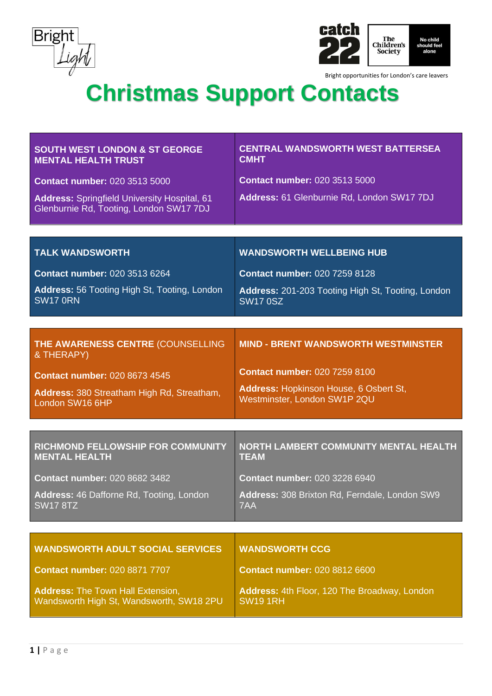



| <b>SOUTH WEST LONDON &amp; ST GEORGE</b><br><b>MENTAL HEALTH TRUST</b>                         | <b>CENTRAL WANDSWORTH WEST BATTERSEA</b><br><b>CMHT</b>                |
|------------------------------------------------------------------------------------------------|------------------------------------------------------------------------|
| <b>Contact number: 020 3513 5000</b>                                                           | <b>Contact number: 020 3513 5000</b>                                   |
| <b>Address: Springfield University Hospital, 61</b><br>Glenburnie Rd, Tooting, London SW17 7DJ | Address: 61 Glenburnie Rd, London SW17 7DJ                             |
|                                                                                                |                                                                        |
| <b>TALK WANDSWORTH</b>                                                                         | <b>WANDSWORTH WELLBEING HUB</b>                                        |
| <b>Contact number: 020 3513 6264</b>                                                           | <b>Contact number: 020 7259 8128</b>                                   |
| Address: 56 Tooting High St, Tooting, London<br><b>SW17 0RN</b>                                | Address: 201-203 Tooting High St, Tooting, London<br><b>SW17 0SZ</b>   |
|                                                                                                |                                                                        |
| THE AWARENESS CENTRE (COUNSELLING<br>& THERAPY)                                                | <b>MIND - BRENT WANDSWORTH WESTMINSTER</b>                             |
| <b>Contact number: 020 8673 4545</b>                                                           | <b>Contact number: 020 7259 8100</b>                                   |
| Address: 380 Streatham High Rd, Streatham,<br>London SW16 6HP                                  | Address: Hopkinson House, 6 Osbert St,<br>Westminster, London SW1P 2QU |
|                                                                                                |                                                                        |
| RICHMOND FELLOWSHIP FOR COMMUNITY<br><b>MENTAL HEALTH</b>                                      | <b>NORTH LAMBERT COMMUNITY MENTAL HEALTH</b><br><b>TEAM</b>            |
| <b>Contact number: 020 8682 3482</b>                                                           | <b>Contact number: 020 3228 6940</b>                                   |
|                                                                                                |                                                                        |
| Address: 46 Dafforne Rd, Tooting, London<br><b>SW17 8TZ</b>                                    | Address: 308 Brixton Rd, Ferndale, London SW9<br>7AA                   |
|                                                                                                |                                                                        |
| <b>WANDSWORTH ADULT SOCIAL SERVICES</b>                                                        | <b>WANDSWORTH CCG</b>                                                  |
| <b>Contact number: 020 8871 7707</b>                                                           | <b>Contact number: 020 8812 6600</b>                                   |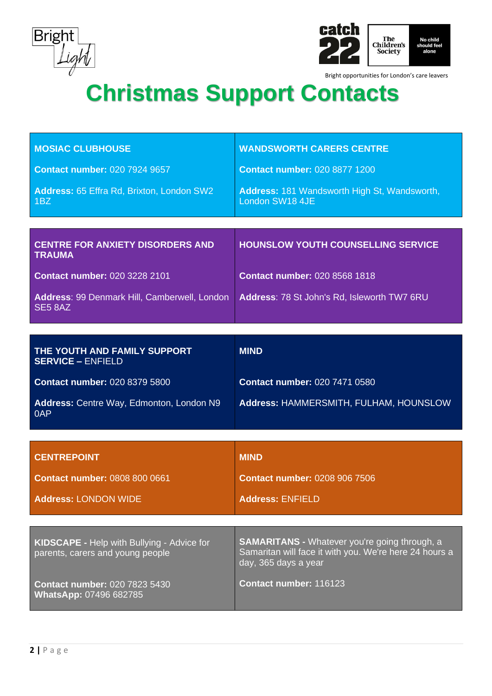



| <b>MOSIAC CLUBHOUSE</b>                                                               | <b>WANDSWORTH CARERS CENTRE</b>                                                                                                        |
|---------------------------------------------------------------------------------------|----------------------------------------------------------------------------------------------------------------------------------------|
| <b>Contact number: 020 7924 9657</b>                                                  | <b>Contact number: 020 8877 1200</b>                                                                                                   |
| Address: 65 Effra Rd, Brixton, London SW2<br>1 <sub>BZ</sub>                          | <b>Address: 181 Wandsworth High St, Wandsworth,</b><br>London SW18 4JE                                                                 |
|                                                                                       |                                                                                                                                        |
| <b>CENTRE FOR ANXIETY DISORDERS AND</b><br><b>TRAUMA</b>                              | <b>HOUNSLOW YOUTH COUNSELLING SERVICE</b>                                                                                              |
| <b>Contact number: 020 3228 2101</b>                                                  | <b>Contact number: 020 8568 1818</b>                                                                                                   |
| Address: 99 Denmark Hill, Camberwell, London<br>SE5 8AZ                               | Address: 78 St John's Rd, Isleworth TW7 6RU                                                                                            |
|                                                                                       |                                                                                                                                        |
| THE YOUTH AND FAMILY SUPPORT<br><b>SERVICE - ENFIELD</b>                              | <b>MIND</b>                                                                                                                            |
| <b>Contact number: 020 8379 5800</b>                                                  | <b>Contact number: 020 7471 0580</b>                                                                                                   |
| Address: Centre Way, Edmonton, London N9<br>0AP                                       | Address: HAMMERSMITH, FULHAM, HOUNSLOW                                                                                                 |
|                                                                                       |                                                                                                                                        |
| <b>CENTREPOINT</b>                                                                    | <b>MIND</b>                                                                                                                            |
| <b>Contact number: 0808 800 0661</b>                                                  | <b>Contact number: 0208 906 7506</b>                                                                                                   |
| <b>Address: LONDON WIDE</b>                                                           | <b>Address: ENFIELD</b>                                                                                                                |
|                                                                                       |                                                                                                                                        |
| <b>KIDSCAPE - Help with Bullying - Advice for</b><br>parents, carers and young people | <b>SAMARITANS - Whatever you're going through, a</b><br>Samaritan will face it with you. We're here 24 hours a<br>day, 365 days a year |
| <b>Contact number: 020 7823 5430</b><br><b>WhatsApp: 07496 682785</b>                 | Contact number: 116123                                                                                                                 |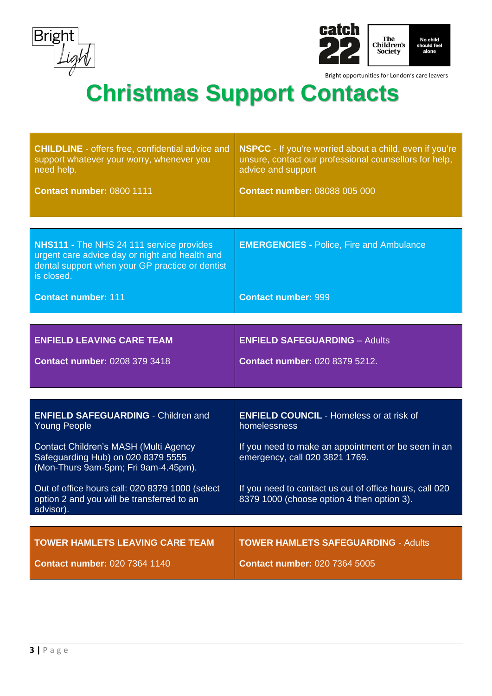



| <b>CHILDLINE</b> - offers free, confidential advice and<br>support whatever your worry, whenever you<br>need help.                                                 | <b>NSPCC</b> - If you're worried about a child, even if you're<br>unsure, contact our professional counsellors for help,<br>advice and support |  |
|--------------------------------------------------------------------------------------------------------------------------------------------------------------------|------------------------------------------------------------------------------------------------------------------------------------------------|--|
| Contact number: 0800 1111                                                                                                                                          | <b>Contact number: 08088 005 000</b>                                                                                                           |  |
|                                                                                                                                                                    |                                                                                                                                                |  |
| <b>NHS111 - The NHS 24 111 service provides</b><br>urgent care advice day or night and health and<br>dental support when your GP practice or dentist<br>is closed. | <b>EMERGENCIES - Police, Fire and Ambulance</b>                                                                                                |  |
| <b>Contact number: 111</b>                                                                                                                                         | <b>Contact number: 999</b>                                                                                                                     |  |
|                                                                                                                                                                    |                                                                                                                                                |  |
| <b>ENFIELD LEAVING CARE TEAM</b>                                                                                                                                   | <b>ENFIELD SAFEGUARDING - Adults</b>                                                                                                           |  |
| <b>Contact number: 0208 379 3418</b>                                                                                                                               | <b>Contact number: 020 8379 5212.</b>                                                                                                          |  |
|                                                                                                                                                                    |                                                                                                                                                |  |
| <b>ENFIELD SAFEGUARDING - Children and</b><br><b>Young People</b>                                                                                                  | <b>ENFIELD COUNCIL - Homeless or at risk of</b><br>homelessness                                                                                |  |
| Contact Children's MASH (Multi Agency<br>Safeguarding Hub) on 020 8379 5555<br>(Mon-Thurs 9am-5pm; Fri 9am-4.45pm).                                                | If you need to make an appointment or be seen in an<br>emergency, call 020 3821 1769.                                                          |  |
| Out of office hours call: 020 8379 1000 (select<br>option 2 and you will be transferred to an<br>advisor).                                                         | If you need to contact us out of office hours, call 020<br>8379 1000 (choose option 4 then option 3).                                          |  |
|                                                                                                                                                                    |                                                                                                                                                |  |
| <b>TOWER HAMLETS LEAVING CARE TEAM</b>                                                                                                                             | <b>TOWER HAMLETS SAFEGUARDING - Adults</b>                                                                                                     |  |
| <b>Contact number: 020 7364 1140</b>                                                                                                                               | <b>Contact number: 020 7364 5005</b>                                                                                                           |  |